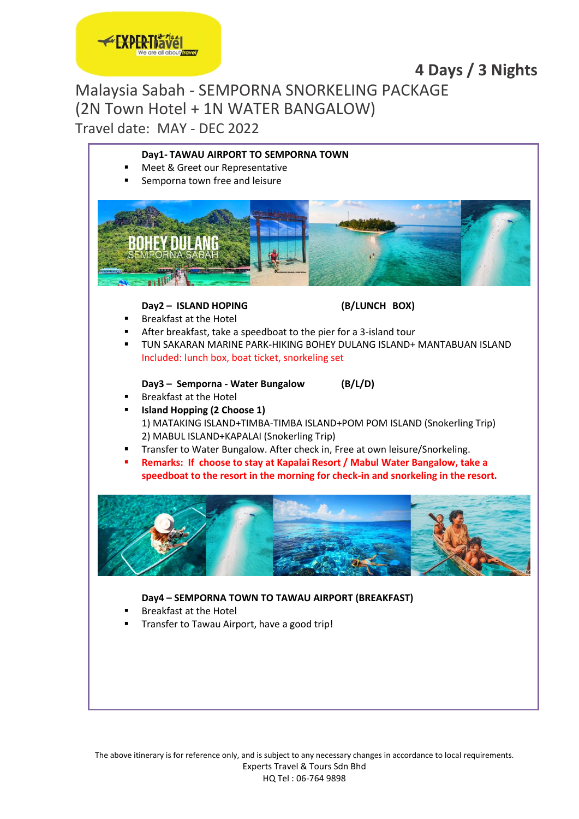

# **4 Days / 3 Nights**

### Malaysia Sabah - SEMPORNA SNORKELING PACKAGE (2N Town Hotel + 1N WATER BANGALOW) Travel date: MAY - DEC 2022

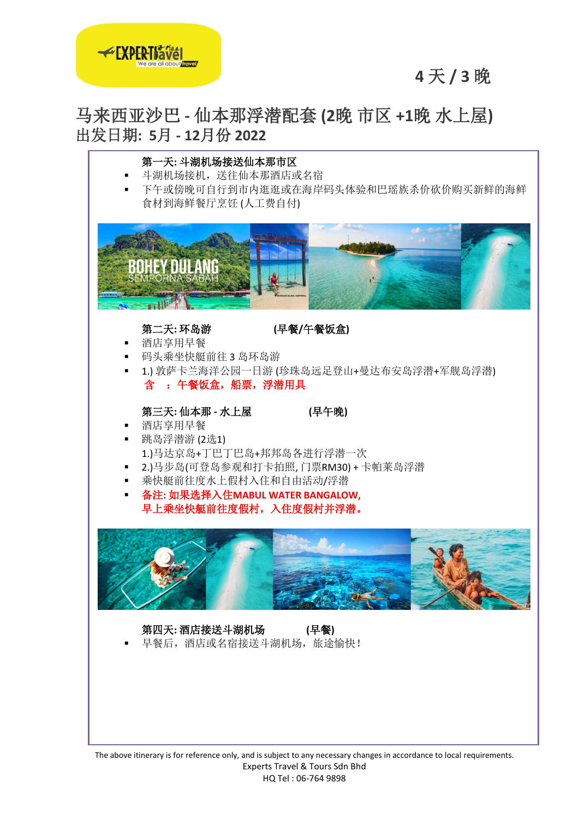

# **4** 天 **/ 3** 晚

# 马来西亚沙巴 **-** 仙本那浮潜配套 **(2**晚 市区 **+1**晚 水上屋**)** 出发日期**: 5**月 **- 12**月份 **2022**



The above itinerary is for reference only, and is subject to any necessary changes in accordance to local requirements. Experts Travel & Tours Sdn Bhd HQ Tel : 06-764 9898